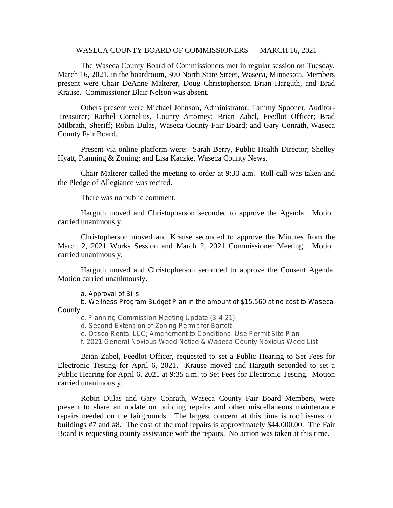## WASECA COUNTY BOARD OF COMMISSIONERS — MARCH 16, 2021

The Waseca County Board of Commissioners met in regular session on Tuesday, March 16, 2021, in the boardroom, 300 North State Street, Waseca, Minnesota. Members present were Chair DeAnne Malterer, Doug Christopherson Brian Harguth, and Brad Krause. Commissioner Blair Nelson was absent.

Others present were Michael Johnson, Administrator; Tammy Spooner, Auditor-Treasurer; Rachel Cornelius, County Attorney; Brian Zabel, Feedlot Officer; Brad Milbrath, Sheriff; Robin Dulas, Waseca County Fair Board; and Gary Conrath, Waseca County Fair Board.

Present via online platform were: Sarah Berry, Public Health Director; Shelley Hyatt, Planning & Zoning; and Lisa Kaczke, Waseca County News.

Chair Malterer called the meeting to order at 9:30 a.m. Roll call was taken and the Pledge of Allegiance was recited.

There was no public comment.

Harguth moved and Christopherson seconded to approve the Agenda. Motion carried unanimously.

Christopherson moved and Krause seconded to approve the Minutes from the March 2, 2021 Works Session and March 2, 2021 Commissioner Meeting. Motion carried unanimously.

Harguth moved and Christopherson seconded to approve the Consent Agenda. Motion carried unanimously.

a. Approval of Bills

b. Wellness Program Budget Plan in the amount of \$15,560 at no cost to Waseca County.

c. Planning Commission Meeting Update (3-4-21)

d. Second Extension of Zoning Permit for Bartelt

e. Otisco Rental LLC; Amendment to Conditional Use Permit Site Plan

f. 2021 General Noxious Weed Notice & Waseca County Noxious Weed List

Brian Zabel, Feedlot Officer, requested to set a Public Hearing to Set Fees for Electronic Testing for April 6, 2021. Krause moved and Harguth seconded to set a Public Hearing for April 6, 2021 at 9:35 a.m. to Set Fees for Electronic Testing. Motion carried unanimously.

Robin Dulas and Gary Conrath, Waseca County Fair Board Members, were present to share an update on building repairs and other miscellaneous maintenance repairs needed on the fairgrounds. The largest concern at this time is roof issues on buildings #7 and #8. The cost of the roof repairs is approximately \$44,000.00. The Fair Board is requesting county assistance with the repairs. No action was taken at this time.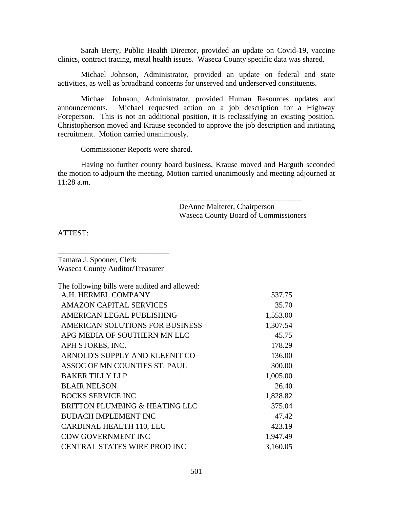Sarah Berry, Public Health Director, provided an update on Covid-19, vaccine clinics, contract tracing, metal health issues. Waseca County specific data was shared.

Michael Johnson, Administrator, provided an update on federal and state activities, as well as broadband concerns for unserved and underserved constituents.

Michael Johnson, Administrator, provided Human Resources updates and announcements. Michael requested action on a job description for a Highway Foreperson. This is not an additional position, it is reclassifying an existing position. Christopherson moved and Krause seconded to approve the job description and initiating recruitment. Motion carried unanimously.

Commissioner Reports were shared.

Having no further county board business, Krause moved and Harguth seconded the motion to adjourn the meeting. Motion carried unanimously and meeting adjourned at 11:28 a.m.

> DeAnne Malterer, Chairperson Waseca County Board of Commissioners

\_\_\_\_\_\_\_\_\_\_\_\_\_\_\_\_\_\_\_\_\_\_\_\_\_\_\_\_\_\_\_\_

ATTEST:

Tamara J. Spooner, Clerk Waseca County Auditor/Treasurer

\_\_\_\_\_\_\_\_\_\_\_\_\_\_\_\_\_\_\_\_\_\_\_\_\_\_\_\_\_

| The following bills were audited and allowed: |          |
|-----------------------------------------------|----------|
| A.H. HERMEL COMPANY                           | 537.75   |
| <b>AMAZON CAPITAL SERVICES</b>                | 35.70    |
| AMERICAN LEGAL PUBLISHING                     | 1,553.00 |
| AMERICAN SOLUTIONS FOR BUSINESS               | 1,307.54 |
| APG MEDIA OF SOUTHERN MN LLC                  | 45.75    |
| APH STORES, INC.                              | 178.29   |
| ARNOLD'S SUPPLY AND KLEENIT CO                | 136.00   |
| ASSOC OF MN COUNTIES ST. PAUL                 | 300.00   |
| <b>BAKER TILLY LLP</b>                        | 1,005.00 |
| <b>BLAIR NELSON</b>                           | 26.40    |
| <b>BOCKS SERVICE INC</b>                      | 1,828.82 |
| BRITTON PLUMBING & HEATING LLC                | 375.04   |
| <b>BUDACH IMPLEMENT INC</b>                   | 47.42    |
| CARDINAL HEALTH 110, LLC                      | 423.19   |
| <b>CDW GOVERNMENT INC</b>                     | 1,947.49 |
| CENTRAL STATES WIRE PROD INC                  | 3,160.05 |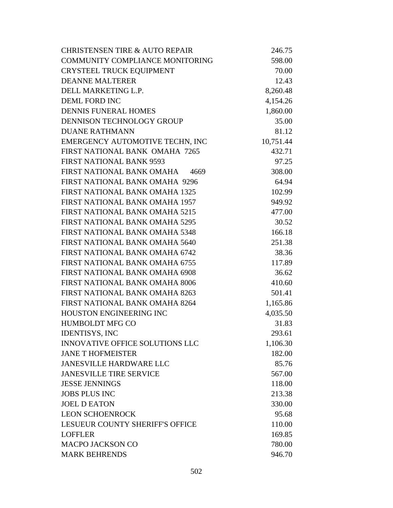| <b>CHRISTENSEN TIRE &amp; AUTO REPAIR</b> | 246.75    |
|-------------------------------------------|-----------|
| <b>COMMUNITY COMPLIANCE MONITORING</b>    | 598.00    |
| CRYSTEEL TRUCK EQUIPMENT                  | 70.00     |
| <b>DEANNE MALTERER</b>                    | 12.43     |
| DELL MARKETING L.P.                       | 8,260.48  |
| <b>DEML FORD INC</b>                      | 4,154.26  |
| <b>DENNIS FUNERAL HOMES</b>               | 1,860.00  |
| DENNISON TECHNOLOGY GROUP                 | 35.00     |
| <b>DUANE RATHMANN</b>                     | 81.12     |
| EMERGENCY AUTOMOTIVE TECHN, INC           | 10,751.44 |
| FIRST NATIONAL BANK OMAHA 7265            | 432.71    |
| <b>FIRST NATIONAL BANK 9593</b>           | 97.25     |
| FIRST NATIONAL BANK OMAHA 4669            | 308.00    |
| FIRST NATIONAL BANK OMAHA 9296            | 64.94     |
| FIRST NATIONAL BANK OMAHA 1325            | 102.99    |
| FIRST NATIONAL BANK OMAHA 1957            | 949.92    |
| FIRST NATIONAL BANK OMAHA 5215            | 477.00    |
| FIRST NATIONAL BANK OMAHA 5295            | 30.52     |
| FIRST NATIONAL BANK OMAHA 5348            | 166.18    |
| FIRST NATIONAL BANK OMAHA 5640            | 251.38    |
| FIRST NATIONAL BANK OMAHA 6742            | 38.36     |
| FIRST NATIONAL BANK OMAHA 6755            | 117.89    |
| FIRST NATIONAL BANK OMAHA 6908            | 36.62     |
| FIRST NATIONAL BANK OMAHA 8006            | 410.60    |
| FIRST NATIONAL BANK OMAHA 8263            | 501.41    |
| FIRST NATIONAL BANK OMAHA 8264            | 1,165.86  |
| <b>HOUSTON ENGINEERING INC</b>            | 4,035.50  |
| <b>HUMBOLDT MFG CO</b>                    | 31.83     |
| <b>IDENTISYS, INC</b>                     | 293.61    |
| INNOVATIVE OFFICE SOLUTIONS LLC           | 1,106.30  |
| <b>JANE T HOFMEISTER</b>                  | 182.00    |
| <b>JANESVILLE HARDWARE LLC</b>            | 85.76     |
| <b>JANESVILLE TIRE SERVICE</b>            | 567.00    |
| <b>JESSE JENNINGS</b>                     | 118.00    |
| <b>JOBS PLUS INC</b>                      | 213.38    |
| <b>JOEL D EATON</b>                       | 330.00    |
| <b>LEON SCHOENROCK</b>                    | 95.68     |
| <b>LESUEUR COUNTY SHERIFF'S OFFICE</b>    | 110.00    |
| <b>LOFFLER</b>                            | 169.85    |
| <b>MACPO JACKSON CO</b>                   | 780.00    |
| <b>MARK BEHRENDS</b>                      | 946.70    |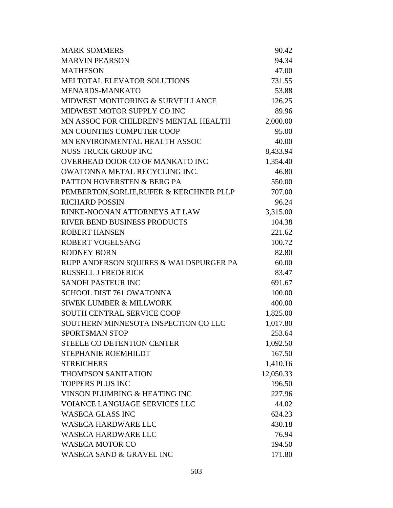| <b>MARK SOMMERS</b>                      | 90.42     |
|------------------------------------------|-----------|
| <b>MARVIN PEARSON</b>                    | 94.34     |
| <b>MATHESON</b>                          | 47.00     |
| MEI TOTAL ELEVATOR SOLUTIONS             | 731.55    |
| MENARDS-MANKATO                          | 53.88     |
| MIDWEST MONITORING & SURVEILLANCE        | 126.25    |
| MIDWEST MOTOR SUPPLY CO INC              | 89.96     |
| MN ASSOC FOR CHILDREN'S MENTAL HEALTH    | 2,000.00  |
| MN COUNTIES COMPUTER COOP                | 95.00     |
| MN ENVIRONMENTAL HEALTH ASSOC            | 40.00     |
| <b>NUSS TRUCK GROUP INC</b>              | 8,433.94  |
| OVERHEAD DOOR CO OF MANKATO INC          | 1,354.40  |
| OWATONNA METAL RECYCLING INC.            | 46.80     |
| PATTON HOVERSTEN & BERG PA               | 550.00    |
| PEMBERTON, SORLIE, RUFER & KERCHNER PLLP | 707.00    |
| <b>RICHARD POSSIN</b>                    | 96.24     |
| RINKE-NOONAN ATTORNEYS AT LAW            | 3,315.00  |
| RIVER BEND BUSINESS PRODUCTS             | 104.38    |
| <b>ROBERT HANSEN</b>                     | 221.62    |
| <b>ROBERT VOGELSANG</b>                  | 100.72    |
| <b>RODNEY BORN</b>                       | 82.80     |
| RUPP ANDERSON SQUIRES & WALDSPURGER PA   | 60.00     |
| <b>RUSSELL J FREDERICK</b>               | 83.47     |
| <b>SANOFI PASTEUR INC</b>                | 691.67    |
| <b>SCHOOL DIST 761 OWATONNA</b>          | 100.00    |
| <b>SIWEK LUMBER &amp; MILLWORK</b>       | 400.00    |
| SOUTH CENTRAL SERVICE COOP               | 1,825.00  |
| SOUTHERN MINNESOTA INSPECTION CO LLC     | 1,017.80  |
| <b>SPORTSMAN STOP</b>                    | 253.64    |
| <b>STEELE CO DETENTION CENTER</b>        | 1,092.50  |
| STEPHANIE ROEMHILDT                      | 167.50    |
| <b>STREICHERS</b>                        | 1,410.16  |
| <b>THOMPSON SANITATION</b>               | 12,050.33 |
| <b>TOPPERS PLUS INC</b>                  | 196.50    |
| VINSON PLUMBING & HEATING INC            | 227.96    |
| <b>VOIANCE LANGUAGE SERVICES LLC</b>     | 44.02     |
| <b>WASECA GLASS INC</b>                  | 624.23    |
| <b>WASECA HARDWARE LLC</b>               | 430.18    |
| <b>WASECA HARDWARE LLC</b>               | 76.94     |
| <b>WASECA MOTOR CO</b>                   | 194.50    |
| <b>WASECA SAND &amp; GRAVEL INC</b>      | 171.80    |